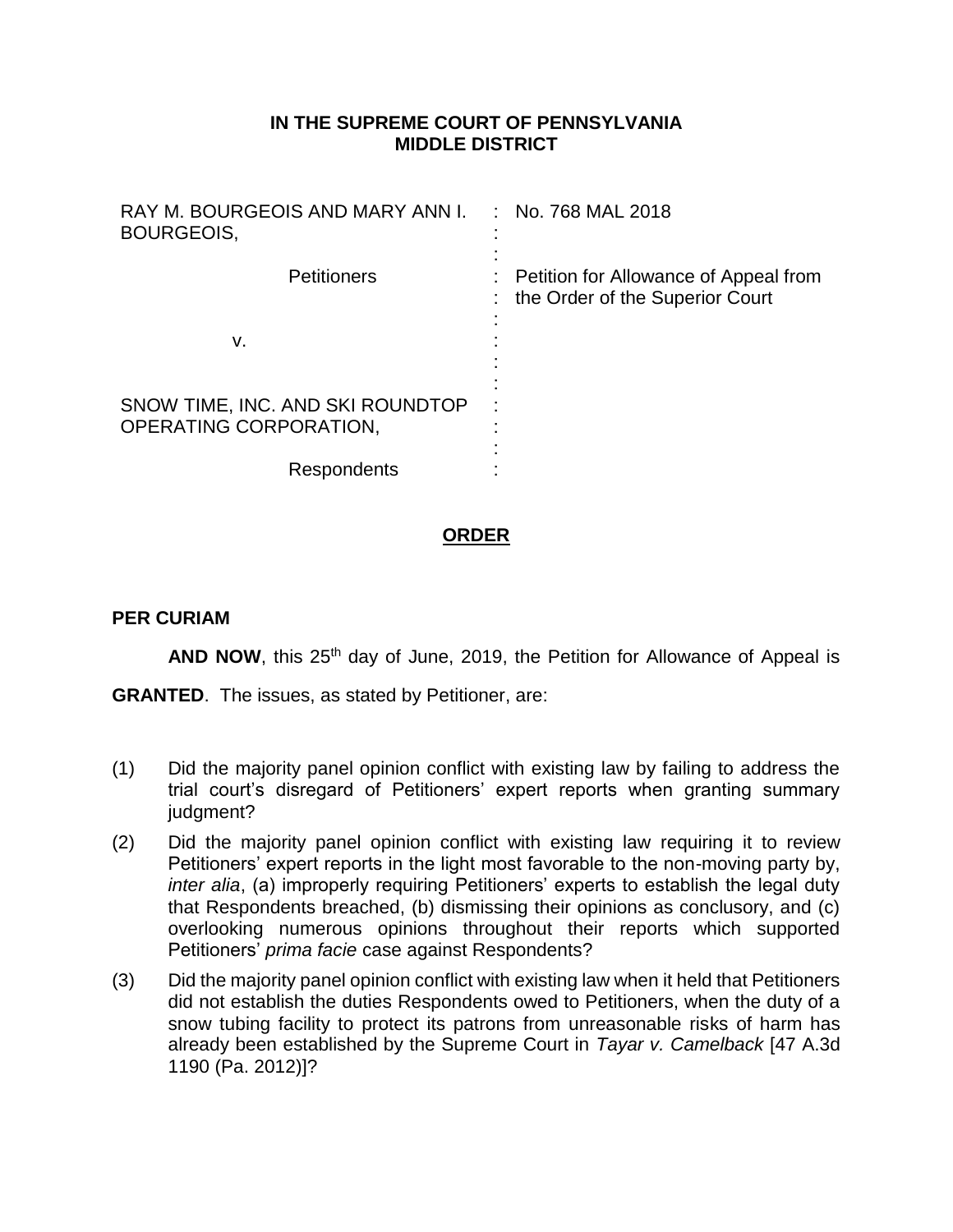## **IN THE SUPREME COURT OF PENNSYLVANIA MIDDLE DISTRICT**

| RAY M. BOURGEOIS AND MARY ANN I.<br>BOURGEOIS,             | $:$ No. 768 MAL 2018                                                     |
|------------------------------------------------------------|--------------------------------------------------------------------------|
| <b>Petitioners</b>                                         | Petition for Allowance of Appeal from<br>the Order of the Superior Court |
| v.                                                         |                                                                          |
| SNOW TIME, INC. AND SKI ROUNDTOP<br>OPERATING CORPORATION, |                                                                          |
| Respondents                                                |                                                                          |

## **ORDER**

## **PER CURIAM**

**AND NOW**, this 25<sup>th</sup> day of June, 2019, the Petition for Allowance of Appeal is

**GRANTED**. The issues, as stated by Petitioner, are:

- (1) Did the majority panel opinion conflict with existing law by failing to address the trial court's disregard of Petitioners' expert reports when granting summary judgment?
- (2) Did the majority panel opinion conflict with existing law requiring it to review Petitioners' expert reports in the light most favorable to the non-moving party by, *inter alia*, (a) improperly requiring Petitioners' experts to establish the legal duty that Respondents breached, (b) dismissing their opinions as conclusory, and (c) overlooking numerous opinions throughout their reports which supported Petitioners' *prima facie* case against Respondents?
- (3) Did the majority panel opinion conflict with existing law when it held that Petitioners did not establish the duties Respondents owed to Petitioners, when the duty of a snow tubing facility to protect its patrons from unreasonable risks of harm has already been established by the Supreme Court in *Tayar v. Camelback* [47 A.3d 1190 (Pa. 2012)]?